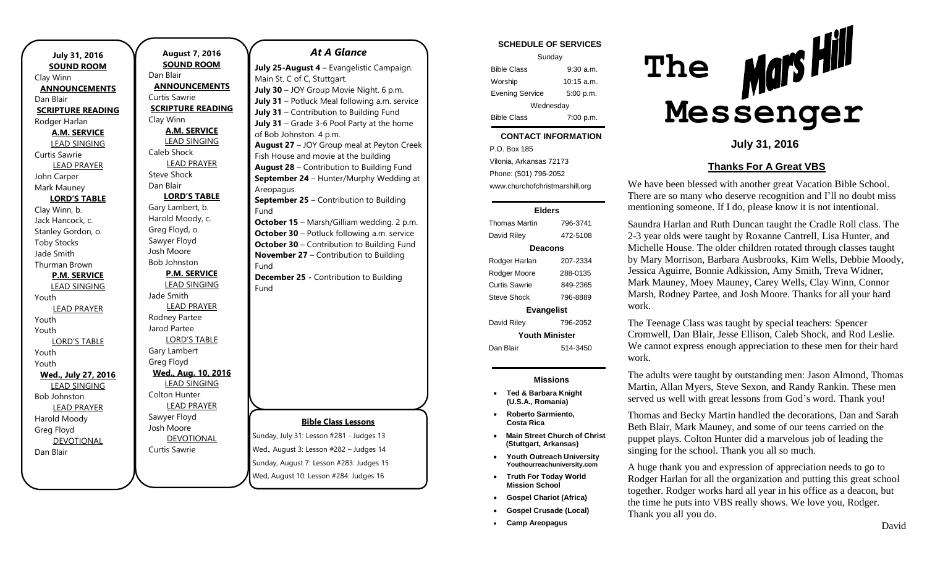| July 31, 2016<br><b>SOUND ROOM</b> |
|------------------------------------|
| Clay Winn                          |
| <b>ANNOUNCEMENTS</b>               |
| Dan Blair                          |
| <b>SCRIPTURE READING</b>           |
| Rodger Harlan                      |
| <b>A.M. SERVICE</b>                |
| <b>LEAD SINGING</b>                |
| <b>Curtis Sawrie</b>               |
| <b>LEAD PRAYER</b>                 |
| John Carper                        |
| Mark Mauney                        |
| <b>LORD'S TABLE</b>                |
| Clay Winn, b.                      |
| Jack Hancock, c.                   |
| Stanley Gordon, o.                 |
| <b>Toby Stocks</b>                 |
| Jade Smith                         |
| Thurman Brown                      |
| <b>P.M. SERVICE</b>                |
| <b>LEAD SINGING</b>                |
| Youth                              |
| <b>LEAD PRAYER</b>                 |
| Youth                              |
| Youth                              |
| <b>LORD'S TABLE</b>                |
| Youth                              |
| Youth                              |
| Wed., July 27, 2016                |
| <b>LEAD SINGING</b>                |
| <b>Bob Johnston</b>                |
| <b>LEAD PRAYER</b>                 |
| Harold Moody                       |
| Greg Floyd                         |
| <b>DEVOTIONAL</b>                  |
| Dan Blair                          |

**August 7, 2016 SOUND ROOM** Dan Blair **ANNOUNCEMENTS** Curtis Sawrie **SCRIPTURE READING** Clay Winn **A.M. SERVICE** LEAD SINGING Caleb Shock LEAD PRAYER Steve Shock Dan Blair **LORD'S TABLE** Gary Lambert, b. Harold Moody, c. Greg Floyd, o. Sawyer Floyd Josh Moore Bob Johnston **P.M. SERVICE** LEAD SINGING Jade Smith LEAD PRAYER Rodney Partee Jarod Partee LORD'S TABLE Gary Lambert Greg Floyd **Wed., Aug. 10, 2016** LEAD SINGING Colton Hunter LEAD PRAYER Sawyer Floyd Josh Moore **DEVOTIONAL** 

Curtis Sawrie

### *At A Glance*

**July 25-August 4** – Evangelistic Campaign. Main St. C of C, Stuttgart. **July 30** – JOY Group Movie Night. 6 p.m. **July 31** – Potluck Meal following a.m. service **July 31** – Contribution to Building Fund **July 31** – Grade 3-6 Pool Party at the home of Bob Johnston. 4 p.m. **August 27** – JOY Group meal at Peyton Creek Fish House and movie at the building **August 28** – Contribution to Building Fund **September 24** – Hunter/Murphy Wedding at Areopagus. **September 25** – Contribution to Building Fund **October 15** – Marsh/Gilliam wedding. 2 p.m. **October 30** – Potluck following a.m. service **October 30** – Contribution to Building Fund **November 27** – Contribution to Building Fund **December 25 -** Contribution to Building Fund

### **Bible Class Lessons**

Sunday, July 31: Lesson #281 - Judges 13 Wed., August 3: Lesson #282 – Judges 14 Sunday, August 7: Lesson #283: Judges 15 Wed, August 10: Lesson #284: Judges 16

#### **SCHEDULE OF SERVICES**

| Sunday                 |              |  |
|------------------------|--------------|--|
| <b>Bible Class</b>     | 9:30a.m.     |  |
| Worship                | $10:15$ a.m. |  |
| <b>Evening Service</b> | 5:00 p.m.    |  |
| Wednesday              |              |  |
| <b>Bible Class</b>     | 7:00 p.m.    |  |

#### tuesday. **CONTACT INFORMATION**

. .o. Box 100<br>Vilonia, Arkansas 72173 P.O. Box 185 Phone: (501) 796-2052 www.churchofchristmarshill.org

#### **Elders**

Thomas Martin 796-3741 David Riley 472-5108 **Deacons** Rodger Harlan 207-2334 Rodger Moore 288-0135 Curtis Sawrie 849-2365 Steve Shock 796-8889 **Evangelist** David Riley 796-2052 **Youth Minister** Dan Blair 514-3450

#### **Missions**

- **Ted & Barbara Knight (U.S.A., Romania)**
- **Roberto Sarmiento, Costa Rica**
- **Main Street Church of Christ (Stuttgart, Arkansas)**
- **Youth Outreach University Youthourreachuniversity.com**
- **Truth For Today World Mission School**
- **Gospel Chariot (Africa)**
- **Gospel Crusade (Local)**
- **Camp Areopagus**



## **July 31, 2016**

## **Thanks For A Great VBS**

We have been blessed with another great Vacation Bible School. There are so many who deserve recognition and I'll no doubt miss mentioning someone. If I do, please know it is not intentional.

Saundra Harlan and Ruth Duncan taught the Cradle Roll class. The 2-3 year olds were taught by Roxanne Cantrell, Lisa Hunter, and Michelle House. The older children rotated through classes taught by Mary Morrison, Barbara Ausbrooks, Kim Wells, Debbie Moody, Jessica Aguirre, Bonnie Adkission, Amy Smith, Treva Widner, Mark Mauney, Moey Mauney, Carey Wells, Clay Winn, Connor Marsh, Rodney Partee, and Josh Moore. Thanks for all your hard work.

The Teenage Class was taught by special teachers: Spencer Cromwell, Dan Blair, Jesse Ellison, Caleb Shock, and Rod Leslie. We cannot express enough appreciation to these men for their hard work.

The adults were taught by outstanding men: Jason Almond, Thomas Martin, Allan Myers, Steve Sexon, and Randy Rankin. These men served us well with great lessons from God's word. Thank you!

Thomas and Becky Martin handled the decorations, Dan and Sarah Beth Blair, Mark Mauney, and some of our teens carried on the puppet plays. Colton Hunter did a marvelous job of leading the singing for the school. Thank you all so much.

A huge thank you and expression of appreciation needs to go to Rodger Harlan for all the organization and putting this great school together. Rodger works hard all year in his office as a deacon, but the time he puts into VBS really shows. We love you, Rodger. Thank you all you do.